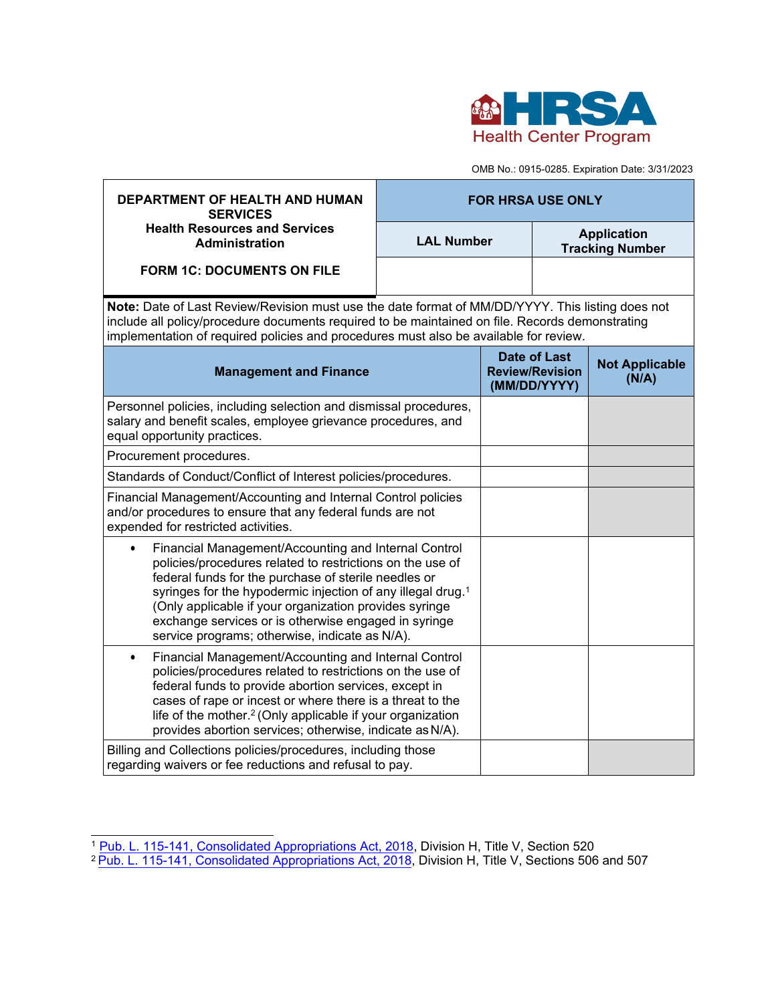

OMB No.: 0915-0285. Expiration Date: 3/31/2023

| <b>DEPARTMENT OF HEALTH AND HUMAN</b><br><b>SERVICES</b>                                                                                                                                                                                                                                                                                                                                                                              | <b>FOR HRSA USE ONLY</b> |                                                               |                                              |                                |  |  |
|---------------------------------------------------------------------------------------------------------------------------------------------------------------------------------------------------------------------------------------------------------------------------------------------------------------------------------------------------------------------------------------------------------------------------------------|--------------------------|---------------------------------------------------------------|----------------------------------------------|--------------------------------|--|--|
| <b>Health Resources and Services</b><br>Administration                                                                                                                                                                                                                                                                                                                                                                                | <b>LAL Number</b>        |                                                               | <b>Application</b><br><b>Tracking Number</b> |                                |  |  |
| <b>FORM 1C: DOCUMENTS ON FILE</b>                                                                                                                                                                                                                                                                                                                                                                                                     |                          |                                                               |                                              |                                |  |  |
| Note: Date of Last Review/Revision must use the date format of MM/DD/YYYY. This listing does not<br>include all policy/procedure documents required to be maintained on file. Records demonstrating<br>implementation of required policies and procedures must also be available for review.                                                                                                                                          |                          |                                                               |                                              |                                |  |  |
| <b>Management and Finance</b>                                                                                                                                                                                                                                                                                                                                                                                                         |                          | <b>Date of Last</b><br><b>Review/Revision</b><br>(MM/DD/YYYY) |                                              | <b>Not Applicable</b><br>(N/A) |  |  |
| Personnel policies, including selection and dismissal procedures,<br>salary and benefit scales, employee grievance procedures, and<br>equal opportunity practices.                                                                                                                                                                                                                                                                    |                          |                                                               |                                              |                                |  |  |
| Procurement procedures.                                                                                                                                                                                                                                                                                                                                                                                                               |                          |                                                               |                                              |                                |  |  |
| Standards of Conduct/Conflict of Interest policies/procedures.                                                                                                                                                                                                                                                                                                                                                                        |                          |                                                               |                                              |                                |  |  |
| Financial Management/Accounting and Internal Control policies<br>and/or procedures to ensure that any federal funds are not<br>expended for restricted activities.                                                                                                                                                                                                                                                                    |                          |                                                               |                                              |                                |  |  |
| Financial Management/Accounting and Internal Control<br>$\bullet$<br>policies/procedures related to restrictions on the use of<br>federal funds for the purchase of sterile needles or<br>syringes for the hypodermic injection of any illegal drug. <sup>1</sup><br>(Only applicable if your organization provides syringe<br>exchange services or is otherwise engaged in syringe<br>service programs; otherwise, indicate as N/A). |                          |                                                               |                                              |                                |  |  |
| Financial Management/Accounting and Internal Control<br>$\bullet$<br>policies/procedures related to restrictions on the use of<br>federal funds to provide abortion services, except in<br>cases of rape or incest or where there is a threat to the<br>life of the mother. <sup>2</sup> (Only applicable if your organization<br>provides abortion services; otherwise, indicate as N/A).                                            |                          |                                                               |                                              |                                |  |  |
| Billing and Collections policies/procedures, including those<br>regarding waivers or fee reductions and refusal to pay.                                                                                                                                                                                                                                                                                                               |                          |                                                               |                                              |                                |  |  |

<span id="page-0-0"></span><sup>&</sup>lt;sup>1</sup> <u>Pub. L. 115-141, [Consolidated Appropriations](https://www.congress.gov/115/bills/hr1625/BILLS-115hr1625enr.pdf) Act, 2018</u>, Division H, Title V, Section 520

<span id="page-0-1"></span><sup>&</sup>lt;sup>2</sup> <u>Pub. L. 115-141, [Consolidated Appropriations](https://www.congress.gov/115/bills/hr1625/BILLS-115hr1625enr.pdf) Act, 2018,</u> Division H, Title V, Sections 506 and 507